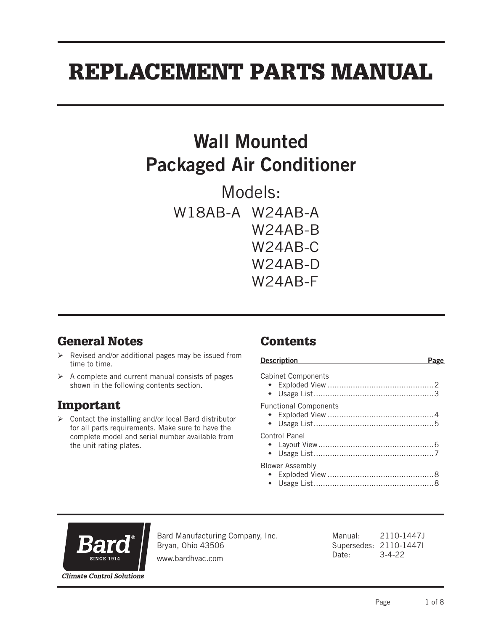# REPLACEMENT PARTS MANUAL

## Wall Mounted Packaged Air Conditioner

Models: W18AB-A W24AB-A W24AB-B W24AB-C W24AB-D W24AB-F

## General Notes

- $\triangleright$  Revised and/or additional pages may be issued from time to time.
- $\triangleright$  A complete and current manual consists of pages shown in the following contents section.

#### Important

 Contact the installing and/or local Bard distributor for all parts requirements. Make sure to have the complete model and serial number available from the unit rating plates.

## Contents

| <b>Description</b>           |  |
|------------------------------|--|
| <b>Cabinet Components</b>    |  |
| <b>Functional Components</b> |  |
| Control Panel                |  |
| <b>Blower Assembly</b>       |  |



Bard Manufacturing Company, Inc. Bryan, Ohio 43506

Manual: 2110-1447J Supersedes: 2110-1447I Date: 3-4-22

www.bardhvac.com

Page 1 of 8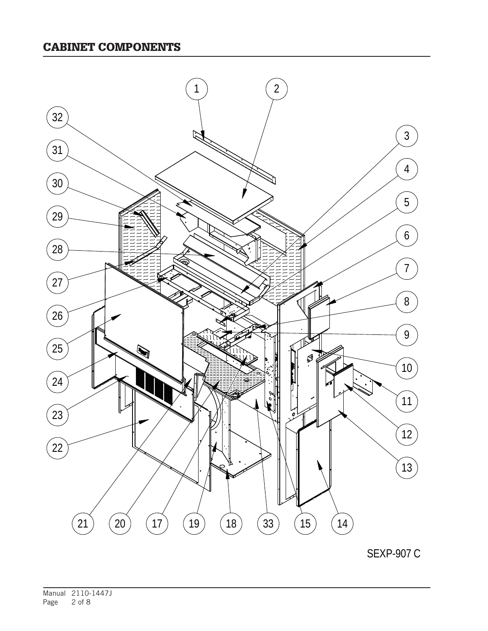#### CABINET COMPONENTS



SEXP-907 C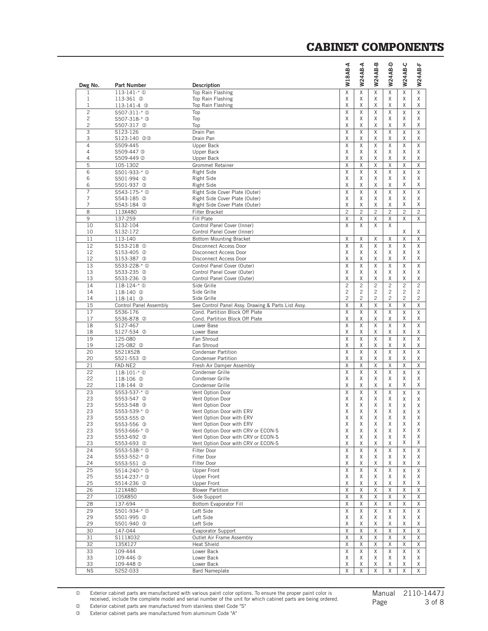| Dwg No.                          | <b>Part Number</b>                     | <b>Description</b>                                                         | A-BA81W             | W24AB-A             | W24AB-B             | W24AB-D             | W24AB-C             | <b>W24AB-F</b>      |
|----------------------------------|----------------------------------------|----------------------------------------------------------------------------|---------------------|---------------------|---------------------|---------------------|---------------------|---------------------|
| 1                                | $113 - 141 - * ①$                      | Top Rain Flashing                                                          | X                   | X                   | Χ                   | X                   | Χ                   | X                   |
| 1                                | 113-361 ©                              | Top Rain Flashing                                                          | Χ                   | Χ                   | Χ                   | Χ                   | Χ                   | Χ                   |
| $\mathbf{1}$                     | 113-141-4 <sup>3</sup>                 | Top Rain Flashing                                                          | Χ                   | Χ                   | Χ                   | Χ                   | Χ                   | Χ                   |
| $\overline{c}$<br>$\overline{c}$ | S507-311-* 1<br>S507-318-* 3           | Top<br>Top                                                                 | X<br>X              | X<br>X              | X<br>X              | X<br>X              | Χ<br>X              | X<br>Χ              |
| $\overline{c}$                   | S507-317 <sup>2</sup>                  | Top                                                                        | X                   | Χ                   | Χ                   | Χ                   | Χ                   | Χ                   |
| 3                                | S123-126                               | Drain Pan                                                                  | X                   | X                   | X                   | X                   | X                   | X                   |
| 3                                | S123-140 @®                            | Drain Pan                                                                  | Χ                   | Χ                   | Χ                   | Χ                   | Χ                   | Χ                   |
| $\overline{4}$<br>$\overline{4}$ | S509-445                               | Upper Back                                                                 | X                   | X                   | X                   | X                   | Χ                   | Χ                   |
| $\overline{4}$                   | S509-447 <sup>3</sup><br>S509-449 2    | Upper Back<br>Upper Back                                                   | X<br>X              | Χ<br>X              | Χ<br>X              | X<br>X              | Χ<br>Χ              | Χ<br>Χ              |
| 5                                | 105-1302                               | Grommet Retainer                                                           | X                   | X                   | X                   | X                   | Χ                   | X                   |
| 6                                | \$501-933-* <sup>0</sup>               | <b>Right Side</b>                                                          | X                   | X                   | X                   | Χ                   | X                   | Χ                   |
| 6                                | S501-994 <sup>②</sup>                  | <b>Right Side</b>                                                          | X                   | X                   | X                   | X                   | X                   | Χ                   |
| 6<br>$\overline{7}$              | S501-937 3                             | <b>Right Side</b>                                                          | X<br>X              | Χ<br>X              | Χ<br>X              | X<br>X              | Χ                   | Χ                   |
| 7                                | S543-175-* <sup>0</sup><br>S543-185 2  | Right Side Cover Plate (Outer)<br>Right Side Cover Plate (Outer)           | Χ                   | Χ                   | Χ                   | Χ                   | X<br>Χ              | Χ<br>Χ              |
| 7                                | S543-184 <sup>3</sup>                  | Right Side Cover Plate (Outer)                                             | X                   | X                   | X                   | X                   | Χ                   | Χ                   |
| 8                                | 113X480                                | Filter Bracket                                                             | $\overline{c}$      | $\overline{c}$      | $\overline{c}$      | $\overline{c}$      | $\overline{c}$      | $\overline{c}$      |
| 9                                | 137-259                                | Fill Plate                                                                 | Χ                   | Χ                   | Χ                   | X                   | Χ                   | Χ                   |
| 10                               | S132-104                               | Control Panel Cover (Inner)                                                | X                   | X                   | X                   | X                   |                     |                     |
| 10<br>11                         | S132-172                               | Control Panel Cover (Inner)                                                |                     |                     |                     |                     | Χ<br>Χ              | Χ<br>X              |
| 12                               | 113-140<br>\$153-218 <sup>0</sup>      | <b>Bottom Mounting Bracket</b><br>Disconnect Access Door                   | Χ<br>X              | Χ<br>X              | Χ<br>X              | Χ<br>X              | Χ                   | X                   |
| 12                               | S153-405 <sup>2</sup>                  | <b>Disconnect Access Door</b>                                              | X                   | Χ                   | Χ                   | X                   | Χ                   | Χ                   |
| 12                               | S153-387 <sup>3</sup>                  | Disconnect Access Door                                                     | X                   | X                   | X                   | X                   | Χ                   | Χ                   |
| 13                               | \$533-228-* <sup>0</sup>               | Control Panel Cover (Outer)                                                | X                   | X                   | X                   | X                   | X                   | X                   |
| 13                               | S533-235 @                             | Control Panel Cover (Outer)                                                | Χ                   | Χ                   | Χ                   | X                   | Χ                   | Χ                   |
| 13<br>14                         | S533-236 3<br>$118 - 124 - * ①$        | Control Panel Cover (Outer)<br>Side Grille                                 | Χ<br>$\overline{c}$ | Χ<br>$\overline{c}$ | Χ<br>$\overline{c}$ | Χ<br>$\overline{c}$ | Χ<br>$\overline{c}$ | Χ<br>$\overline{2}$ |
| 14                               | 118-140 2                              | Side Grille                                                                | $\overline{c}$      | $\overline{c}$      | $\overline{c}$      | $\overline{c}$      | 2                   | 2                   |
| 14                               | 118-141 <b>3</b>                       | Side Grille                                                                | $\overline{c}$      | $\mathfrak{p}$      | $\overline{2}$      | 2                   | $\overline{c}$      | $\overline{c}$      |
| 15                               | Control Panel Assembly                 | See Control Panel Assy. Drawing & Parts List Assy.                         | X                   | Χ                   | Χ                   | X                   | Χ                   | X                   |
| 17                               | S536-176                               | Cond. Partition Block Off Plate                                            | X                   | X                   | X                   | X                   | X                   | X                   |
| 17                               | S536-878 <sup>2</sup>                  | Cond. Partition Block Off Plate                                            | Χ                   | Χ                   | Χ                   | Χ                   | Χ                   | Χ                   |
| 18<br>18                         | S127-467<br>S127-534 <sup>@</sup>      | Lower Base<br>Lower Base                                                   | X<br>Χ              | X<br>Χ              | X<br>Χ              | X<br>X              | X<br>X              | X<br>Χ              |
| 19                               | 125-080                                | Fan Shroud                                                                 | X                   | X                   | X                   | X                   | X                   | X                   |
| 19                               | 125-082 <sup>2</sup>                   | Fan Shroud                                                                 | Χ                   | Χ                   | Χ                   | Χ                   | Χ                   | Χ                   |
| 20                               | S521X528                               | <b>Condenser Partition</b>                                                 | X                   | X                   | X                   | X                   | X                   | X                   |
| 20<br>21                         | S521-553 <sup>@</sup>                  | <b>Condenser Partition</b>                                                 | Χ<br>X              | Χ<br>X              | Χ<br>X              | Χ<br>X              | Χ<br>X              | Χ<br>$\overline{X}$ |
| 22                               | FAD-NE2<br>$118 - 101 - * 0$           | Fresh Air Damper Assembly<br>Condenser Grille                              | X                   | X                   | X                   | X                   | X                   | X                   |
| 22                               | 118-106 <sup>2</sup>                   | Condenser Grille                                                           | Χ                   | Χ                   | Χ                   | Χ                   | Χ                   | Χ                   |
| 22                               | 118-144 <sup>3</sup>                   | Condenser Grille                                                           | X                   | X                   | Χ                   | Χ                   | Χ                   | Χ                   |
| 23                               | S553-537-* 1                           | Vent Option Door                                                           | X                   | X                   | X                   | X                   | Χ                   | Χ                   |
| 23<br>23                         | S553-547 <sup>©</sup>                  | Vent Option Door                                                           | X<br>Χ              | Χ                   | Χ                   | X<br>Χ              | Χ                   | Χ                   |
| 23                               | S553-548 <sup>3</sup><br>\$553-539-* 0 | Vent Option Door<br>Vent Option Door with ERV                              | X                   | Χ<br>X              | Χ<br>X              | X                   | Χ<br>Χ              | Χ<br>Χ              |
| 23                               | S553-555 @                             | Vent Option Door with ERV                                                  | X                   | X                   | X                   | X                   | X                   | X                   |
| 23                               | S553-556 <sup>3</sup>                  | Vent Option Door with ERV                                                  | Χ                   | Χ                   | Χ                   | Χ                   | Χ                   | Χ                   |
| 23                               | S553-666-* <sup>0</sup>                | Vent Option Door with CRV or ECON-S<br>Vent Option Door with CRV or ECON-S | Χ                   | Χ                   | Χ                   | Χ                   | Χ<br>Χ              | Χ<br>Χ              |
| 23<br>23                         | S553-692 3<br>S553-693 <sup>@</sup>    | Vent Option Door with CRV or ECON-S                                        | Χ<br>Χ              | Χ<br>Χ              | Χ<br>Χ              | X<br>Χ              | Χ                   | Χ                   |
| 24                               | \$553-538-* 0                          | Filter Door                                                                | X                   | X                   | X                   | Χ                   | Χ                   | X                   |
| 24                               | S553-552-* 3                           | Filter Door                                                                | Χ                   | Χ                   | Χ                   | Χ                   | Χ                   | Χ                   |
| 24                               | S553-551 <sup>②</sup>                  | Filter Door                                                                | Χ                   | Χ                   | Χ                   | Χ                   | Χ                   | Χ                   |
| 25                               | S514-240-* 1                           | <b>Upper Front</b>                                                         | Χ                   | X                   | X                   | X                   | Χ                   | X                   |
| 25<br>25                         | S514-237-* 3<br>S514-236 <sup>2</sup>  | Upper Front<br>Upper Front                                                 | Χ<br>Χ              | Χ<br>Χ              | Χ<br>Χ              | Χ<br>Χ              | Χ<br>Χ              | Χ<br>Χ              |
| 26                               | 121X480                                | <b>Blower Partition</b>                                                    | Χ                   | X                   | X                   | X                   | Χ                   | $\overline{X}$      |
| 27                               | 105X850                                | Side Support                                                               | X                   | Χ                   | X                   | Χ                   | Χ                   | X                   |
| 28                               | 137-694                                | Bottom Evaporator Fill                                                     | X                   | X                   | Χ                   | Χ                   | Χ                   | X                   |
| 29                               | S501-934-* <sup>1</sup>                | Left Side                                                                  | Χ                   | X                   | Χ                   | X                   | Χ                   | X                   |
| 29                               | S501-995 2                             | Left Side                                                                  | Χ                   | Χ                   | Χ                   | Χ                   | Χ                   | Χ                   |
| 29<br>30                         | S501-940 3<br>147-044                  | Left Side                                                                  | Χ<br>Χ              | Χ<br>X              | Χ<br>X              | X<br>X              | Χ<br>Χ              | Χ<br>X              |
| 31                               | S111X032                               | Evaporator Support<br>Outlet Air Frame Assembly                            | X                   | Χ                   | Χ                   | Χ                   | Χ                   | X                   |
| 32                               | 135X127                                | <b>Heat Shield</b>                                                         | X                   | X                   | X                   | X                   | X                   | X                   |
| 33                               | 109-444                                | Lower Back                                                                 | X                   | Χ                   | X                   | X                   | X                   | X                   |
| 33                               | 109-446 <sup>3</sup>                   | Lower Back                                                                 | Χ                   | Χ                   | Χ                   | Χ                   | Χ                   | Χ                   |
| 33                               | 109-448 2                              | Lower Back                                                                 | Χ                   | Χ                   | Χ                   | Χ                   | Χ                   | Χ                   |
| <b>NS</b>                        | 5252-033                               | <b>Bard Nameplate</b>                                                      | Χ                   | X                   | X                   | X                   | Χ                   | X                   |

#### CABINET COMPONENTS

 Exterior cabinet parts are manufactured with various paint color options. To ensure the proper paint color is received, include the complete model and serial number of the unit for which cabinet parts are being ordered. **2** Exterior cabinet parts are manufactured from stainless steel Code "S"

Exterior cabinet parts are manufactured from aluminum Code "A"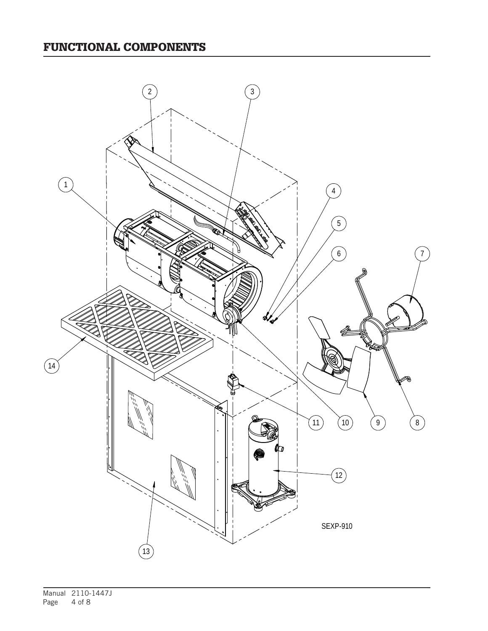## FUNCTIONAL COMPONENTS

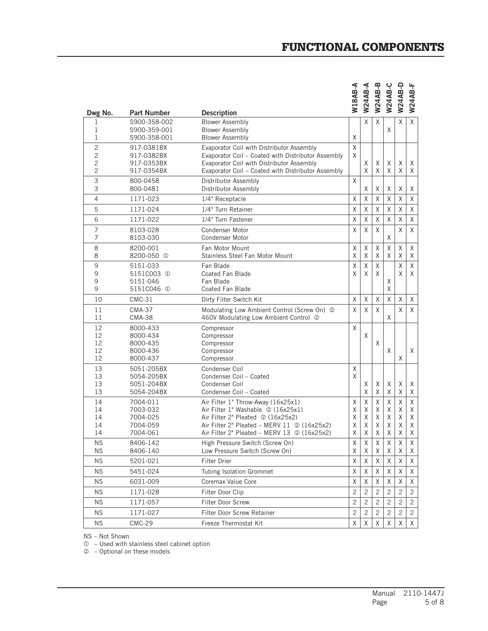| Dwg No.                          | <b>Part Number</b>                | <b>Description</b>                                                                                 | W18AB-A        | W24AB-A        | W24AB-B        | W24AB-C        | W24AB-D        | <b>W24AB-F</b> |
|----------------------------------|-----------------------------------|----------------------------------------------------------------------------------------------------|----------------|----------------|----------------|----------------|----------------|----------------|
| 1<br>1                           | S900-358-002<br>S900-359-001      | <b>Blower Assembly</b><br><b>Blower Assembly</b>                                                   |                | Χ              | X              | X              | X              | Χ              |
| 1                                | S900-358-001                      | <b>Blower Assembly</b>                                                                             | X              |                |                |                |                |                |
| $\overline{2}$<br>$\overline{c}$ | 917-0381BX<br>917-0382BX          | Evaporator Coil with Distributor Assembly<br>Evaporator Coil - Coated with Distributor Assembly    | X<br>X         |                |                |                |                |                |
| 2                                | 917-0353BX                        | Evaporator Coil with Distributor Assembly                                                          |                | Χ              | X              | X              | X              | X              |
| $\overline{c}$                   | 917-0354BX                        | Evaporator Coil - Coated with Distributor Assembly                                                 |                | X              | X              | X              | X              | X              |
| 3<br>3                           | 800-0458<br>800-0481              | Distributor Assembly<br>Distributor Assembly                                                       | X              | X              | Χ              | X              | X              | Χ              |
| $\overline{4}$                   | 1171-023                          | 1/4" Receptacle                                                                                    | X              | X              | X              | X              | X              | Χ              |
| 5                                | 1171-024                          | 1/4" Turn Retainer                                                                                 | X              | X              | Χ              | Χ              | X              | X              |
| 6                                | 1171-022                          | 1/4" Turn Fastener                                                                                 | X              | X              | X              | X              | X              | X              |
| $\overline{7}$<br>7              | 8103-028<br>8103-030              | <b>Condenser Motor</b><br><b>Condenser Motor</b>                                                   | X              | X              | X              | X              | X              | X              |
| 8                                | 8200-001                          | Fan Motor Mount                                                                                    | X              | X              | X              | Χ              | X              | X              |
| 8                                | 8200-050 <sup>1</sup>             | Stainless Steel Fan Motor Mount                                                                    | X              | Χ              | Χ              | X              | X              | X              |
| 9                                | 5151-033                          | Fan Blade                                                                                          | X              | X              | X              |                | X              | $\sf X$        |
| 9<br>9                           | 5151C003 <sup>0</sup><br>5151-046 | Coated Fan Blade<br>Fan Blade                                                                      | X              | X              | X              | X              | X              | X              |
| 9                                | 5151C046 <sup>1</sup>             | Coated Fan Blade                                                                                   |                |                |                | X              |                |                |
| 10                               | $CMC-31$                          | Dirty Filter Switch Kit                                                                            | X              | X              | Χ              | X              | X              | X              |
| 11<br>11                         | <b>CMA-37</b><br><b>CMA-38</b>    | Modulating Low Ambient Control (Screw On) 2<br>460V Modulating Low Ambient Control 2               | X              | X              | X              | X              | X              | X              |
| 12                               | 8000-433                          | Compressor                                                                                         | X              |                |                |                |                |                |
| 12                               | 8000-434                          | Compressor                                                                                         |                | X              |                |                |                |                |
| 12<br>12                         | 8000-435<br>8000-436              | Compressor<br>Compressor                                                                           |                |                | X              | X              |                | X              |
| 12                               | 8000-437                          | Compressor                                                                                         |                |                |                |                | X              |                |
| 13                               | 5051-205BX                        | Condenser Coil                                                                                     | X              |                |                |                |                |                |
| 13                               | 5054-205BX                        | Condenser Coil - Coated                                                                            | X              |                |                |                |                |                |
| 13<br>13                         | 5051-204BX<br>5054-204BX          | Condenser Coil<br>Condenser Coil - Coated                                                          |                | Χ<br>X         | X<br>X         | X<br>X         | X<br>X         | Χ<br>Χ         |
| 14                               | 7004-011                          | Air Filter 1" Throw-Away (16x25x1)                                                                 | X              | X              | X              | X              | X              | Χ              |
| 14                               | 7003-032                          | Air Filter 1" Washable 2 (16x25x1)                                                                 | X              | χ              | Χ              | X              | X              | Χ              |
| 14                               | 7004-025                          | Air Filter 2" Pleated 2 (16x25x2)                                                                  | Χ              | X              | X              | X              | X              | Χ              |
| 14<br>14                         | 7004-059<br>7004-061              | Air Filter 2" Pleated - MERV 11 @ (16x25x2)<br>Air Filter 2" Pleated - MERV 13 $\oslash$ (16x25x2) | Χ<br>X         | Χ<br>X         | X<br>X         | Χ<br>X         | X<br>X         | Χ<br>Χ         |
| <b>NS</b>                        | 8406-142                          | High Pressure Switch (Screw On)                                                                    | Χ              | Χ              | Χ              | X              | Χ              | Χ              |
| <b>NS</b>                        | 8406-140                          | Low Pressure Switch (Screw On)                                                                     | Χ              | Χ              | Χ              | Χ              | Χ              | X              |
| <b>NS</b>                        | 5201-021                          | Filter Drier                                                                                       | $\times$       | X              | X              | X              | X              | X              |
| <b>NS</b>                        | 5451-024                          | Tubing Isolation Grommet                                                                           | Χ              | Χ              | Χ              | Χ              | Χ              | Χ              |
| <b>NS</b>                        | 6031-009                          | Coremax Value Core                                                                                 | X              | Χ              | Χ              | Χ              | X              | Χ              |
| <b>NS</b>                        | 1171-028                          | Filter Door Clip                                                                                   | 2              | $\overline{c}$ | $\overline{c}$ | 2              | $\overline{c}$ | 2              |
| <b>NS</b>                        | 1171-057                          | Filter Door Screw                                                                                  | $\overline{c}$ | $\overline{c}$ | $\overline{c}$ | $\overline{c}$ | $\overline{c}$ | $\mathbf{2}$   |
| <b>NS</b>                        | 1171-027                          | Filter Door Screw Retainer                                                                         | 2              | $\overline{c}$ | $\mathbf{2}$   | $\overline{c}$ | $\overline{c}$ | 2              |
| <b>NS</b>                        | <b>CMC-29</b>                     | Freeze Thermostat Kit                                                                              | X              | X              | Χ              | Χ              | X              | X              |

NS – Not Shown

 $<sup>0</sup>$  – Used with stainless steel cabinet option</sup>

– Optional on these models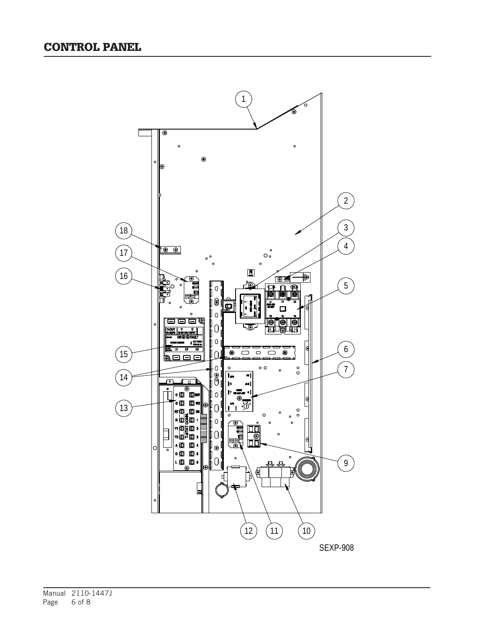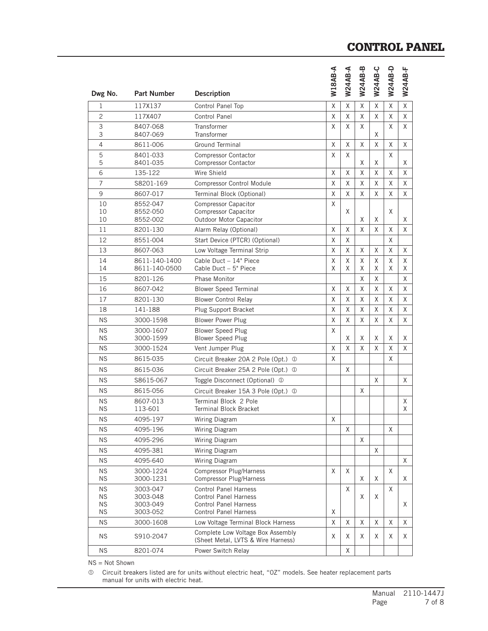#### CONTROL PANEL

| Dwg No.                | <b>Part Number</b>               | <b>Description</b>                                                                    | <b>W18AB-A</b> | <b>W24AB-A</b> | <b>W24AB-B</b> | W24AB-C | <b>W24AB-D</b> | W24AB-F     |
|------------------------|----------------------------------|---------------------------------------------------------------------------------------|----------------|----------------|----------------|---------|----------------|-------------|
| $\mathbf 1$            | 117X137                          | Control Panel Top                                                                     | X              | X              | X              | X       | Χ              | $\mathsf X$ |
| $\overline{c}$         | 117X407                          | <b>Control Panel</b>                                                                  | X              | X              | X              | X       | X              | X           |
| 3                      | 8407-068                         | Transformer                                                                           | X              | X              | X              |         | Χ              | X           |
| 3                      | 8407-069                         | <b>Transformer</b>                                                                    |                |                |                | X       |                |             |
| 4                      | 8611-006                         | <b>Ground Terminal</b>                                                                | X              | X              | X              | X       | Χ              | X           |
| 5<br>5                 | 8401-033<br>8401-035             | <b>Compressor Contactor</b><br><b>Compressor Contactor</b>                            | X              | X              | Χ              | Χ       | X              | Χ           |
| 6                      | 135-122                          | Wire Shield                                                                           | X              | X              | X              | X       | X              | X           |
| $\overline{7}$         | S8201-169                        | <b>Compressor Control Module</b>                                                      | X              | X              | X              | X       | X              | X           |
| 9                      | 8607-017                         | Terminal Block (Optional)                                                             | X              | X              | X              | X       | X              | X           |
| 10<br>10<br>10         | 8552-047<br>8552-050<br>8552-002 | <b>Compressor Capacitor</b><br><b>Compressor Capacitor</b><br>Outdoor Motor Capacitor | X              | X              | X              | X       | Χ              | Χ           |
| 11                     | 8201-130                         | Alarm Relay (Optional)                                                                | Χ              | Χ              | Χ              | X       | Χ              | X           |
| 12                     | 8551-004                         | Start Device (PTCR) (Optional)                                                        | X              | X              |                |         | X              |             |
| 13                     | 8607-063                         | Low Voltage Terminal Strip                                                            | X              | X              | X              | X       | X              | X           |
| 14<br>14               | 8611-140-1400<br>8611-140-0500   | Cable Duct - 14" Piece<br>Cable Duct - 5" Piece                                       | X<br>X         | X<br>X         | X<br>X         | X<br>X  | Χ<br>X         | X<br>X      |
| 15                     | 8201-126                         | <b>Phase Monitor</b>                                                                  |                |                | X              | X       |                | X           |
| 16                     | 8607-042                         | <b>Blower Speed Terminal</b>                                                          | X              | X              | X              | X       | Χ              | X           |
| 17                     | 8201-130                         | <b>Blower Control Relay</b>                                                           | X              | X              | X              | X       | Χ              | X           |
| 18                     | 141-188                          | Plug Support Bracket                                                                  | Χ              | X              | X              | X       | Χ              | X           |
| <b>NS</b>              | 3000-1598                        | <b>Blower Power Plug</b>                                                              | X              | X              | X              | X       | X              | X           |
| <b>NS</b><br><b>NS</b> | 3000-1607<br>3000-1599           | <b>Blower Speed Plug</b><br><b>Blower Speed Plug</b>                                  | X              | X              | X              | X       | X              | X           |
| <b>NS</b>              | 3000-1524                        | Vent Jumper Plug                                                                      | X              | X              | X              | X       | X              | X           |
| <b>NS</b>              | 8615-035                         | Circuit Breaker 20A 2 Pole (Opt.) 1                                                   | X              |                |                |         | X              |             |
| <b>NS</b>              | 8615-036                         | Circuit Breaker 25A 2 Pole (Opt.) 1                                                   |                | X              |                |         |                |             |
| <b>NS</b>              | S8615-067                        | Toggle Disconnect (Optional) ①                                                        |                |                |                | X       |                | X           |
| <b>NS</b>              | 8615-056                         | Circuit Breaker 15A 3 Pole (Opt.) ①                                                   |                |                | X              |         |                |             |
| <b>NS</b><br><b>NS</b> | 8607-013<br>113-601              | Terminal Block 2 Pole<br><b>Terminal Block Bracket</b>                                |                |                |                |         |                | X<br>X      |
| <b>NS</b>              | 4095-197                         | Wiring Diagram                                                                        | X              |                |                |         |                |             |
| <b>NS</b>              | 4095-196                         | Wiring Diagram                                                                        |                | X              |                |         | X              |             |
| <b>NS</b>              | 4095-296                         | Wiring Diagram                                                                        |                |                | X              |         |                |             |
| <b>NS</b>              | 4095-381                         | Wiring Diagram                                                                        |                |                |                | X       |                |             |
| <b>NS</b>              | 4095-640                         | Wiring Diagram                                                                        |                |                |                |         |                | X.          |
| <b>NS</b>              | 3000-1224                        | Compressor Plug/Harness                                                               | X              | X              |                |         | X              |             |
| <b>NS</b>              | 3000-1231                        | Compressor Plug/Harness                                                               |                |                | X              | X       |                | Χ           |
| <b>NS</b><br>ΝS        | 3003-047<br>3003-048             | <b>Control Panel Harness</b><br><b>Control Panel Harness</b>                          |                | X              | Χ              | Χ       | Χ              |             |
| <b>NS</b>              | 3003-049                         | <b>Control Panel Harness</b>                                                          |                |                |                |         |                | Χ           |
| <b>NS</b>              | 3003-052                         | <b>Control Panel Harness</b>                                                          | Χ              |                |                |         |                |             |
| <b>NS</b><br><b>NS</b> | 3000-1608<br>S910-2047           | Low Voltage Terminal Block Harness<br>Complete Low Voltage Box Assembly               | Χ<br>Χ         | X<br>Χ         | X<br>Χ         | X<br>Χ  | Χ<br>Χ         | X<br>X      |
|                        |                                  | (Sheet Metal, LVTS & Wire Harness)                                                    |                |                |                |         |                |             |
| <b>NS</b>              | 8201-074                         | Power Switch Relay                                                                    |                | X              |                |         |                |             |

NS = Not Shown

 Circuit breakers listed are for units without electric heat, "0Z" models. See heater replacement parts manual for units with electric heat.